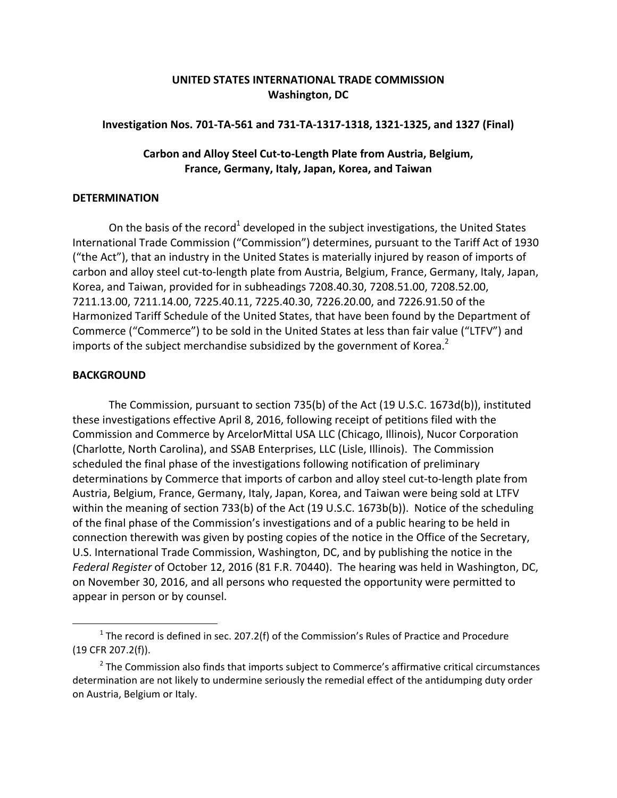# **UNITED STATES INTERNATIONAL TRADE COMMISSION Washington, DC**

## Investigation Nos. 701-TA-561 and 731-TA-1317-1318, 1321-1325, and 1327 (Final)

## **Carbon and Alloy Steel Cut‐to‐Length Plate from Austria, Belgium, France, Germany, Italy, Japan, Korea, and Taiwan**

#### **DETERMINATION**

On the basis of the record<sup>1</sup> developed in the subject investigations, the United States International Trade Commission ("Commission") determines, pursuant to the Tariff Act of 1930 ("the Act"), that an industry in the United States is materially injured by reason of imports of carbon and alloy steel cut-to-length plate from Austria, Belgium, France, Germany, Italy, Japan, Korea, and Taiwan, provided for in subheadings 7208.40.30, 7208.51.00, 7208.52.00, 7211.13.00, 7211.14.00, 7225.40.11, 7225.40.30, 7226.20.00, and 7226.91.50 of the Harmonized Tariff Schedule of the United States, that have been found by the Department of Commerce ("Commerce") to be sold in the United States at less than fair value ("LTFV") and imports of the subject merchandise subsidized by the government of Korea. $2$ 

## **BACKGROUND**

 $\overline{a}$ 

The Commission, pursuant to section 735(b) of the Act (19 U.S.C. 1673d(b)), instituted these investigations effective April 8, 2016, following receipt of petitions filed with the Commission and Commerce by ArcelorMittal USA LLC (Chicago, Illinois), Nucor Corporation (Charlotte, North Carolina), and SSAB Enterprises, LLC (Lisle, Illinois). The Commission scheduled the final phase of the investigations following notification of preliminary determinations by Commerce that imports of carbon and alloy steel cut‐to‐length plate from Austria, Belgium, France, Germany, Italy, Japan, Korea, and Taiwan were being sold at LTFV within the meaning of section 733(b) of the Act (19 U.S.C. 1673b(b)). Notice of the scheduling of the final phase of the Commission's investigations and of a public hearing to be held in connection therewith was given by posting copies of the notice in the Office of the Secretary, U.S. International Trade Commission, Washington, DC, and by publishing the notice in the *Federal Register* of October 12, 2016 (81 F.R. 70440). The hearing was held in Washington, DC, on November 30, 2016, and all persons who requested the opportunity were permitted to appear in person or by counsel.

 $1$  The record is defined in sec. 207.2(f) of the Commission's Rules of Practice and Procedure (19 CFR 207.2(f)).

<sup>&</sup>lt;sup>2</sup> The Commission also finds that imports subject to Commerce's affirmative critical circumstances determination are not likely to undermine seriously the remedial effect of the antidumping duty order on Austria, Belgium or Italy.